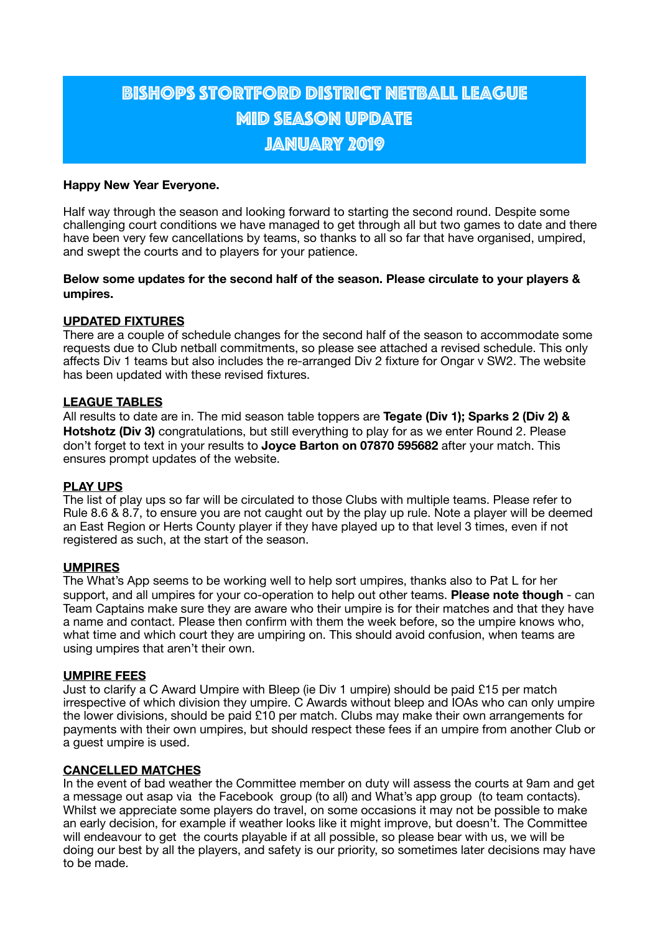# Bishops Stortford District Netball League **MID SEASON UPDATE** JANUARY 2019

## **Happy New Year Everyone.**

Half way through the season and looking forward to starting the second round. Despite some challenging court conditions we have managed to get through all but two games to date and there have been very few cancellations by teams, so thanks to all so far that have organised, umpired, and swept the courts and to players for your patience.

## **Below some updates for the second half of the season. Please circulate to your players & umpires.**

## **UPDATED FIXTURES**

There are a couple of schedule changes for the second half of the season to accommodate some requests due to Club netball commitments, so please see attached a revised schedule. This only affects Div 1 teams but also includes the re-arranged Div 2 fixture for Ongar v SW2. The website has been updated with these revised fixtures.

## **LEAGUE TABLES**

All results to date are in. The mid season table toppers are **Tegate (Div 1); Sparks 2 (Div 2) & Hotshotz (Div 3)** congratulations, but still everything to play for as we enter Round 2. Please don't forget to text in your results to **Joyce Barton on 07870 595682** after your match. This ensures prompt updates of the website.

#### **PLAY UPS**

The list of play ups so far will be circulated to those Clubs with multiple teams. Please refer to Rule 8.6 & 8.7, to ensure you are not caught out by the play up rule. Note a player will be deemed an East Region or Herts County player if they have played up to that level 3 times, even if not registered as such, at the start of the season.

#### **UMPIRES**

The What's App seems to be working well to help sort umpires, thanks also to Pat L for her support, and all umpires for your co-operation to help out other teams. **Please note though** - can Team Captains make sure they are aware who their umpire is for their matches and that they have a name and contact. Please then confirm with them the week before, so the umpire knows who, what time and which court they are umpiring on. This should avoid confusion, when teams are using umpires that aren't their own.

#### **UMPIRE FEES**

Just to clarify a C Award Umpire with Bleep (ie Div 1 umpire) should be paid £15 per match irrespective of which division they umpire. C Awards without bleep and IOAs who can only umpire the lower divisions, should be paid £10 per match. Clubs may make their own arrangements for payments with their own umpires, but should respect these fees if an umpire from another Club or a guest umpire is used.

#### **CANCELLED MATCHES**

In the event of bad weather the Committee member on duty will assess the courts at 9am and get a message out asap via the Facebook group (to all) and What's app group (to team contacts). Whilst we appreciate some players do travel, on some occasions it may not be possible to make an early decision, for example if weather looks like it might improve, but doesn't. The Committee will endeavour to get the courts playable if at all possible, so please bear with us, we will be doing our best by all the players, and safety is our priority, so sometimes later decisions may have to be made.